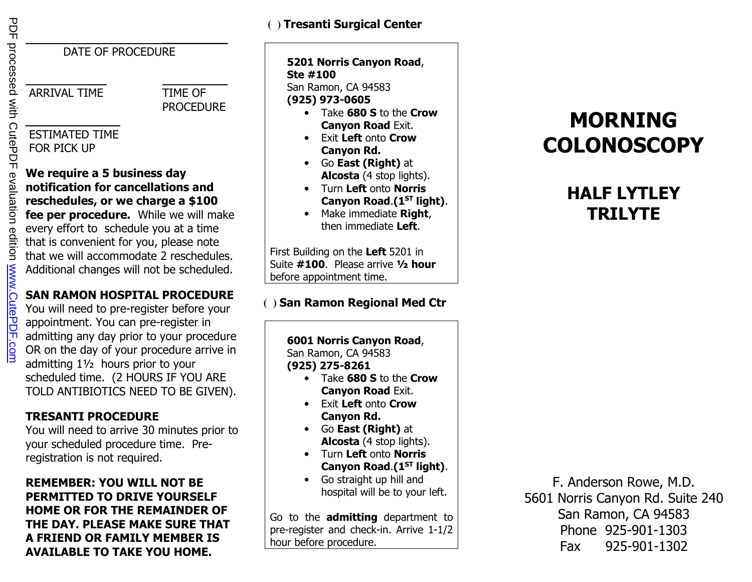DATE OF PROCEDURE

 **\_\_\_\_\_\_\_\_\_** 

\_\_ \_\_\_\_\_

ARRIVAL TIME TIME OF

PROCEDURE

#### **\_\_\_\_\_\_\_\_\_\_\_\_\_**  ESTIMATED TIME FOR PICK UP

#### **We require a 5 business day notification for cancellations and reschedules, or we charge a \$100 fee per procedure.** While we will make every effort to schedule you at a time that is convenient for you, please note

 that we will accommodate 2 reschedules. Additional changes will not be scheduled.

## **SAN RAMON HOSPITAL PROCEDURE**

You will need to pre-register before your appointment. You can pre-register in admitting any day prior to your procedure OR on the day of your procedure arrive in admitting 1½ hours prior to your scheduled time. (2 HOURS IF YOU ARE TOLD ANTIBIOTICS NEED TO BE GIVEN).

### **TRESANTI PROCEDURE**

 You will need to arrive 30 minutes prior to your scheduled procedure time. Preregistration is not required.

**REMEMBER: YOU WILL NOT BE PERMITTED TO DRIVE YOURSELF HOME OR FOR THE REMAINDER OF THE DAY. PLEASE MAKE SURE THAT A FRIEND OR FAMILY MEMBER IS AVAILABLE TO TAKE YOU HOME.** 

## **( ) Tresanti Surgical Center**

## **5201 Norris Canyon Road**, **Ste #100**

 San Ramon, CA 94583 **(925) 973-0605**

- Take **680 S** to the **Crow Canyon Road** Exit.
- Exit **Left** onto **Crow Canyon Rd.**
- Go **East (Right)** at **Alcosta** (4 stop lights).
- Turn **Left** onto **Norris Canyon Road**.**(1ST light)**.
- Make immediate **Right**, then immediate **Left**.

First Building on the **Left** 5201 in Suite **#100**. Please arrive **½ hour**before appointment time.

### **( ) San Ramon Regional Med Ctr**

**6001 Norris Canyon Road**, San Ramon, CA 94583 **(925) 275-8261**

- Take **680 S** to the **Crow Canyon Road** Exit.
- Exit **Left** onto **Crow Canyon Rd.**
- Go **East (Right)** at **Alcosta** (4 stop lights).
- Turn **Left** onto **Norris Canyon Road**.**(1ST light)**.
- Go straight up hill and hospital will be to your left.

Go to the **admitting** department to pre-register and check-in. Arrive 1-1/2 hour before procedure.

# **MORNINGCOLONOSCOPY**

## **HALF LYTLEY TRILYTE**

F. Anderson Rowe, M.D. 5601 Norris Canyon Rd. Suite 240 San Ramon, CA 94583 Phone 925-901-1303Fax 925-901-1302